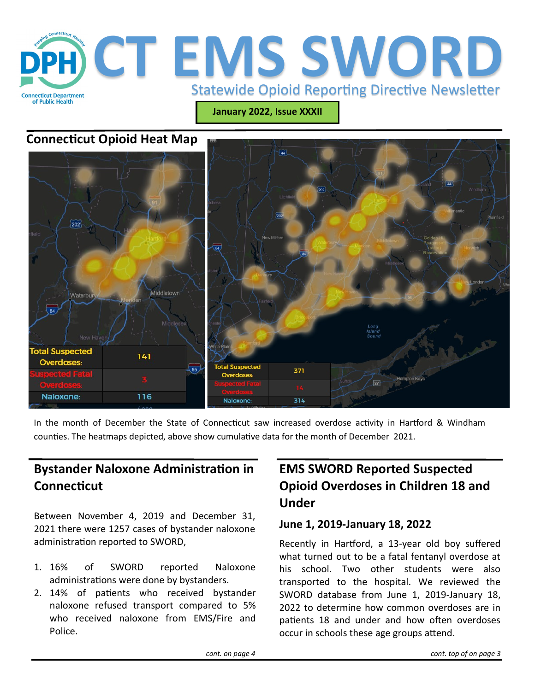

**January 2022, Issue XXXII**

### **Connecticut Opioid Heat Map**



In the month of December the State of Connecticut saw increased overdose activity in Hartford & Windham counties. The heatmaps depicted, above show cumulative data for the month of December 2021.

## **Bystander Naloxone Administration in Connecticut**

Between November 4, 2019 and December 31, 2021 there were 1257 cases of bystander naloxone administration reported to SWORD,

- 1. 16% of SWORD reported Naloxone administrations were done by bystanders.
- 2. 14% of patients who received bystander naloxone refused transport compared to 5% who received naloxone from EMS/Fire and Police.

# **EMS SWORD Reported Suspected Opioid Overdoses in Children 18 and Under**

#### **June 1, 2019-January 18, 2022**

Recently in Hartford, a 13-year old boy suffered what turned out to be a fatal fentanyl overdose at his school. Two other students were also transported to the hospital. We reviewed the SWORD database from June 1, 2019-January 18, 2022 to determine how common overdoses are in patients 18 and under and how often overdoses occur in schools these age groups attend.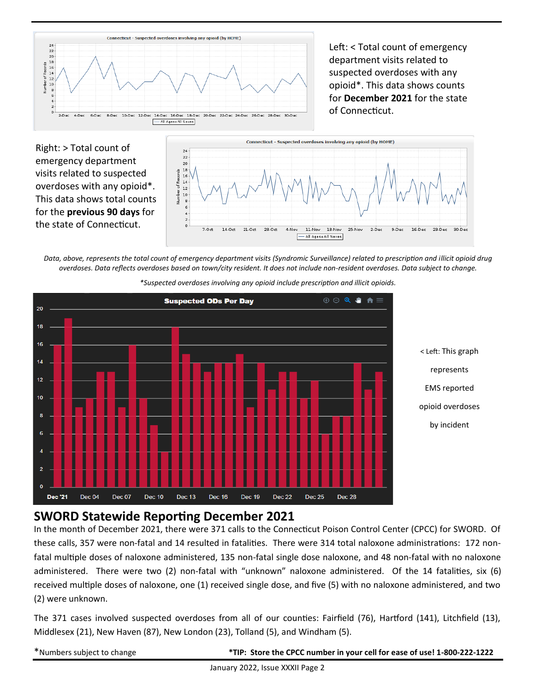

Left: < Total count of emergency department visits related to suspected overdoses with any opioid\*. This data shows counts for **December 2021** for the state of Connecticut.

Right: > Total count of emergency department visits related to suspected overdoses with any opioid\*. This data shows total counts for the **previous 90 days** for the state of Connecticut.



*Data, above, represents the total count of emergency department visits (Syndromic Surveillance) related to prescription and illicit opioid drug overdoses. Data reflects overdoses based on town/city resident. It does not include non-resident overdoses. Data subject to change.* 



*\*Suspected overdoses involving any opioid include prescription and illicit opioids.*

### **SWORD Statewide Reporting December 2021**

In the month of December 2021, there were 371 calls to the Connecticut Poison Control Center (CPCC) for SWORD. Of these calls, 357 were non-fatal and 14 resulted in fatalities. There were 314 total naloxone administrations: 172 nonfatal multiple doses of naloxone administered, 135 non-fatal single dose naloxone, and 48 non-fatal with no naloxone administered. There were two (2) non-fatal with "unknown" naloxone administered. Of the 14 fatalities, six (6) received multiple doses of naloxone, one (1) received single dose, and five (5) with no naloxone administered, and two (2) were unknown.

The 371 cases involved suspected overdoses from all of our counties: Fairfield (76), Hartford (141), Litchfield (13), Middlesex (21), New Haven (87), New London (23), Tolland (5), and Windham (5).

\*Numbers subject to change **\*TIP: Store the CPCC number in your cell for ease of use! 1-800-222-1222**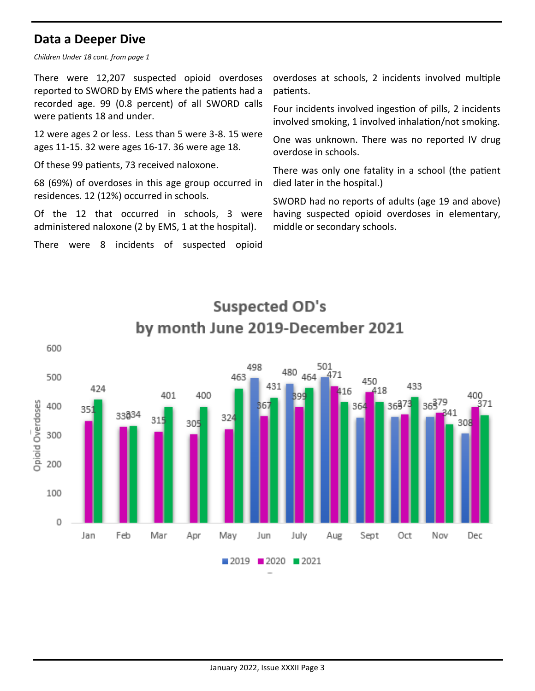### **Data a Deeper Dive**

*Children Under 18 cont. from page 1*

There were 12,207 suspected opioid overdoses reported to SWORD by EMS where the patients had a recorded age. 99 (0.8 percent) of all SWORD calls were patients 18 and under.

12 were ages 2 or less. Less than 5 were 3-8. 15 were ages 11-15. 32 were ages 16-17. 36 were age 18.

Of these 99 patients, 73 received naloxone.

68 (69%) of overdoses in this age group occurred in residences. 12 (12%) occurred in schools.

Of the 12 that occurred in schools, 3 were administered naloxone (2 by EMS, 1 at the hospital).

There were 8 incidents of suspected opioid

overdoses at schools, 2 incidents involved multiple patients.

Four incidents involved ingestion of pills, 2 incidents involved smoking, 1 involved inhalation/not smoking.

One was unknown. There was no reported IV drug overdose in schools.

There was only one fatality in a school (the patient died later in the hospital.)

SWORD had no reports of adults (age 19 and above) having suspected opioid overdoses in elementary, middle or secondary schools.



# **Suspected OD's** by month June 2019-December 2021